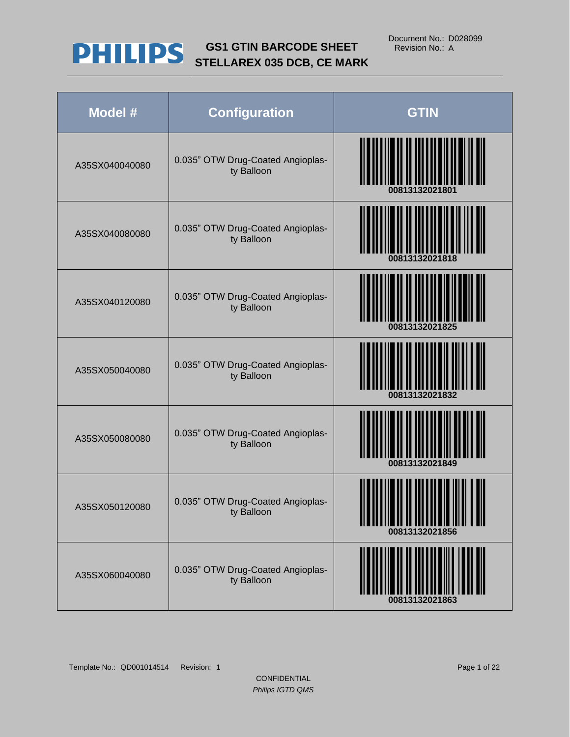

| Model #        | <b>Configuration</b>                            | <b>GTIN</b>    |
|----------------|-------------------------------------------------|----------------|
| A35SX040040080 | 0.035" OTW Drug-Coated Angioplas-<br>ty Balloon | 00813132021801 |
| A35SX040080080 | 0.035" OTW Drug-Coated Angioplas-<br>ty Balloon | 00813132021818 |
| A35SX040120080 | 0.035" OTW Drug-Coated Angioplas-<br>ty Balloon | 00813132021825 |
| A35SX050040080 | 0.035" OTW Drug-Coated Angioplas-<br>ty Balloon | 00813132021832 |
| A35SX050080080 | 0.035" OTW Drug-Coated Angioplas-<br>ty Balloon | 00813132021849 |
| A35SX050120080 | 0.035" OTW Drug-Coated Angioplas-<br>ty Balloon | 00813132021856 |
| A35SX060040080 | 0.035" OTW Drug-Coated Angioplas-<br>ty Balloon | 00813132021863 |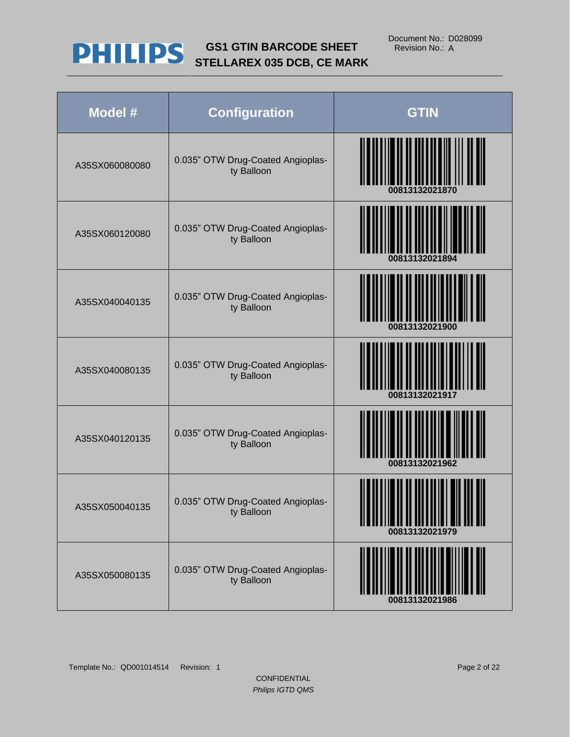

| Model #        | <b>Configuration</b>                            | <b>GTIN</b>    |
|----------------|-------------------------------------------------|----------------|
| A35SX060080080 | 0.035" OTW Drug-Coated Angioplas-<br>ty Balloon | 00813132021870 |
| A35SX060120080 | 0.035" OTW Drug-Coated Angioplas-<br>ty Balloon | 00813132021894 |
| A35SX040040135 | 0.035" OTW Drug-Coated Angioplas-<br>ty Balloon | 00813132021900 |
| A35SX040080135 | 0.035" OTW Drug-Coated Angioplas-<br>ty Balloon | 00813132021917 |
| A35SX040120135 | 0.035" OTW Drug-Coated Angioplas-<br>ty Balloon | 00813132021962 |
| A35SX050040135 | 0.035" OTW Drug-Coated Angioplas-<br>ty Balloon | 00813132021979 |
| A35SX050080135 | 0.035" OTW Drug-Coated Angioplas-<br>ty Balloon | 00813132021986 |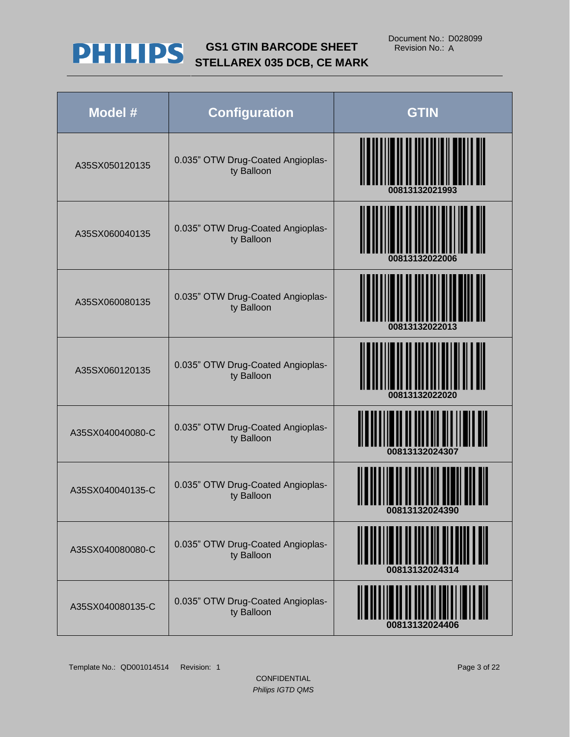

| Model #          | <b>Configuration</b>                            | <b>GTIN</b>    |
|------------------|-------------------------------------------------|----------------|
| A35SX050120135   | 0.035" OTW Drug-Coated Angioplas-<br>ty Balloon | 00813132021993 |
| A35SX060040135   | 0.035" OTW Drug-Coated Angioplas-<br>ty Balloon | 00813132022006 |
| A35SX060080135   | 0.035" OTW Drug-Coated Angioplas-<br>ty Balloon | 00813132022013 |
| A35SX060120135   | 0.035" OTW Drug-Coated Angioplas-<br>ty Balloon | 00813132022020 |
| A35SX040040080-C | 0.035" OTW Drug-Coated Angioplas-<br>ty Balloon | 00813132024307 |
| A35SX040040135-C | 0.035" OTW Drug-Coated Angioplas-<br>ty Balloon | 00813132024390 |
| A35SX040080080-C | 0.035" OTW Drug-Coated Angioplas-<br>ty Balloon |                |
| A35SX040080135-C | 0.035" OTW Drug-Coated Angioplas-<br>ty Balloon | 00813132024406 |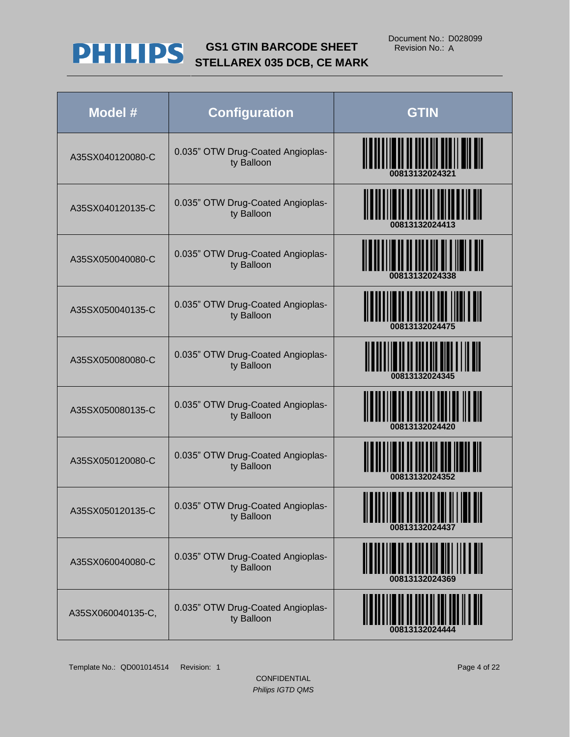

| Model #           | <b>Configuration</b>                            | <b>GTIN</b>                               |
|-------------------|-------------------------------------------------|-------------------------------------------|
| A35SX040120080-C  | 0.035" OTW Drug-Coated Angioplas-<br>ty Balloon | <u>                                  </u> |
| A35SX040120135-C  | 0.035" OTW Drug-Coated Angioplas-<br>ty Balloon | <b>THE REAL PROPERTY OF PROPERTY</b>      |
| A35SX050040080-C  | 0.035" OTW Drug-Coated Angioplas-<br>ty Balloon | <b>TITULIUM ALLU</b><br>00813132024338    |
| A35SX050040135-C  | 0.035" OTW Drug-Coated Angioplas-<br>ty Balloon |                                           |
| A35SX050080080-C  | 0.035" OTW Drug-Coated Angioplas-<br>ty Balloon |                                           |
| A35SX050080135-C  | 0.035" OTW Drug-Coated Angioplas-<br>ty Balloon |                                           |
| A35SX050120080-C  | 0.035" OTW Drug-Coated Angioplas-<br>ty Balloon |                                           |
| A35SX050120135-C  | 0.035" OTW Drug-Coated Angioplas-<br>ty Balloon | 00813132024437                            |
| A35SX060040080-C  | 0.035" OTW Drug-Coated Angioplas-<br>ty Balloon |                                           |
| A35SX060040135-C, | 0.035" OTW Drug-Coated Angioplas-<br>ty Balloon |                                           |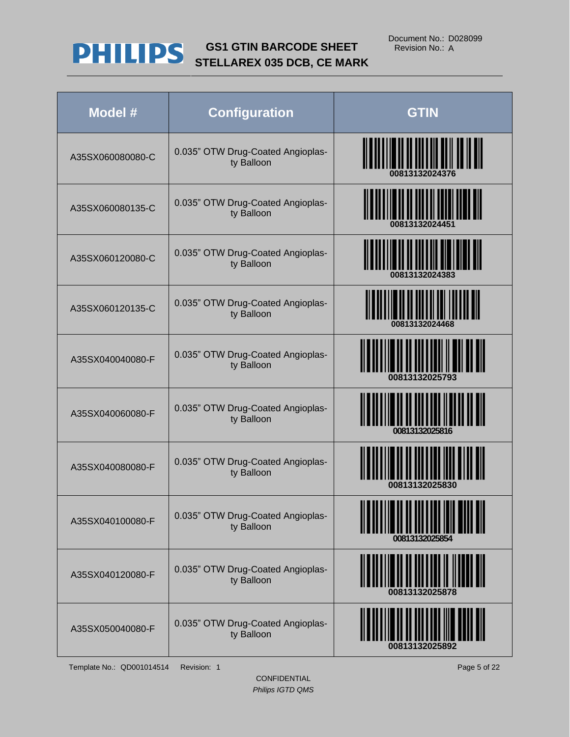

| Model #          | <b>Configuration</b>                            | <b>GTIN</b>                         |
|------------------|-------------------------------------------------|-------------------------------------|
| A35SX060080080-C | 0.035" OTW Drug-Coated Angioplas-<br>ty Balloon | <u> HIII NIHINI YA MATU WA TANZ</u> |
| A35SX060080135-C | 0.035" OTW Drug-Coated Angioplas-<br>ty Balloon |                                     |
| A35SX060120080-C | 0.035" OTW Drug-Coated Angioplas-<br>ty Balloon |                                     |
| A35SX060120135-C | 0.035" OTW Drug-Coated Angioplas-<br>ty Balloon | 00813132024468                      |
| A35SX040040080-F | 0.035" OTW Drug-Coated Angioplas-<br>ty Balloon | <br>00813132025793                  |
| A35SX040060080-F | 0.035" OTW Drug-Coated Angioplas-<br>ty Balloon | 00813132025816                      |
| A35SX040080080-F | 0.035" OTW Drug-Coated Angioplas-<br>ty Balloon |                                     |
| A35SX040100080-F | 0.035" OTW Drug-Coated Angioplas-<br>ty Balloon | 00813132025854                      |
| A35SX040120080-F | 0.035" OTW Drug-Coated Angioplas-<br>ty Balloon |                                     |
| A35SX050040080-F | 0.035" OTW Drug-Coated Angioplas-<br>ty Balloon |                                     |

Template No.: QD001014514 Revision: 1 Page 5 of 22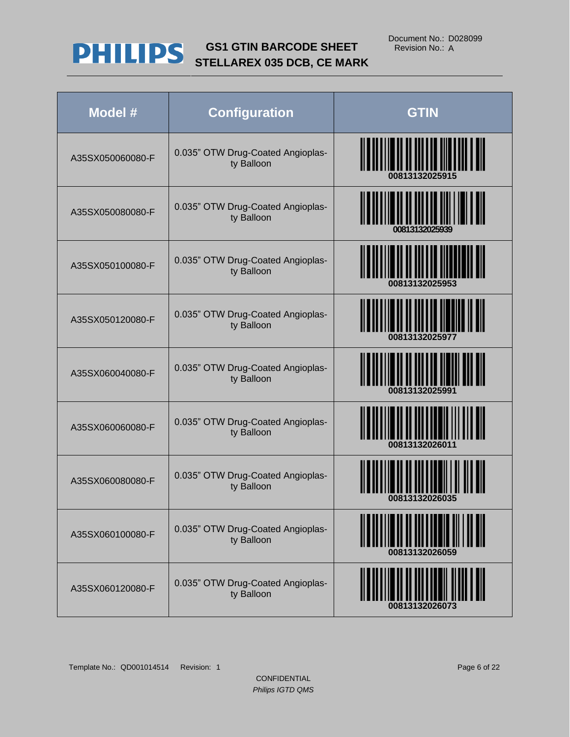

| Model #          | <b>Configuration</b>                            | <b>GTIN</b>               |
|------------------|-------------------------------------------------|---------------------------|
| A35SX050060080-F | 0.035" OTW Drug-Coated Angioplas-<br>ty Balloon |                           |
| A35SX050080080-F | 0.035" OTW Drug-Coated Angioplas-<br>ty Balloon |                           |
| A35SX050100080-F | 0.035" OTW Drug-Coated Angioplas-<br>ty Balloon |                           |
| A35SX050120080-F | 0.035" OTW Drug-Coated Angioplas-<br>ty Balloon | <u>H II IIIII IIIIIII</u> |
| A35SX060040080-F | 0.035" OTW Drug-Coated Angioplas-<br>ty Balloon | <u> IIIIIIIIIIIIII</u>    |
| A35SX060060080-F | 0.035" OTW Drug-Coated Angioplas-<br>ty Balloon | 0081313202601             |
| A35SX060080080-F | 0.035" OTW Drug-Coated Angioplas-<br>ty Balloon |                           |
| A35SX060100080-F | 0.035" OTW Drug-Coated Angioplas-<br>ty Balloon |                           |
| A35SX060120080-F | 0.035" OTW Drug-Coated Angioplas-<br>ty Balloon |                           |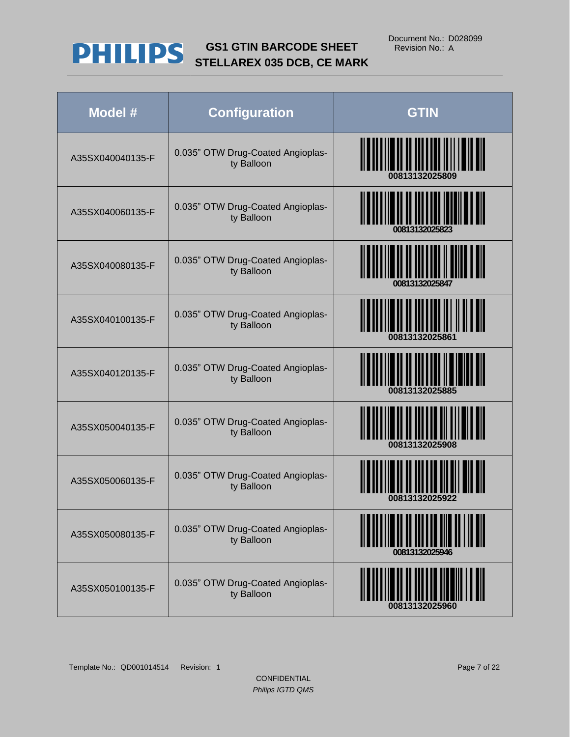

| Model #          | <b>Configuration</b>                            | <b>GTIN</b>                                  |
|------------------|-------------------------------------------------|----------------------------------------------|
| A35SX040040135-F | 0.035" OTW Drug-Coated Angioplas-<br>ty Balloon | <b>                   </b><br>00813132025809 |
| A35SX040060135-F | 0.035" OTW Drug-Coated Angioplas-<br>ty Balloon |                                              |
| A35SX040080135-F | 0.035" OTW Drug-Coated Angioplas-<br>ty Balloon | <b>II IIII III IIII III</b>                  |
| A35SX040100135-F | 0.035" OTW Drug-Coated Angioplas-<br>ty Balloon |                                              |
| A35SX040120135-F | 0.035" OTW Drug-Coated Angioplas-<br>ty Balloon |                                              |
| A35SX050040135-F | 0.035" OTW Drug-Coated Angioplas-<br>ty Balloon |                                              |
| A35SX050060135-F | 0.035" OTW Drug-Coated Angioplas-<br>ty Balloon |                                              |
| A35SX050080135-F | 0.035" OTW Drug-Coated Angioplas-<br>ty Balloon | <u>II II IIII III III III III</u>            |
| A35SX050100135-F | 0.035" OTW Drug-Coated Angioplas-<br>ty Balloon |                                              |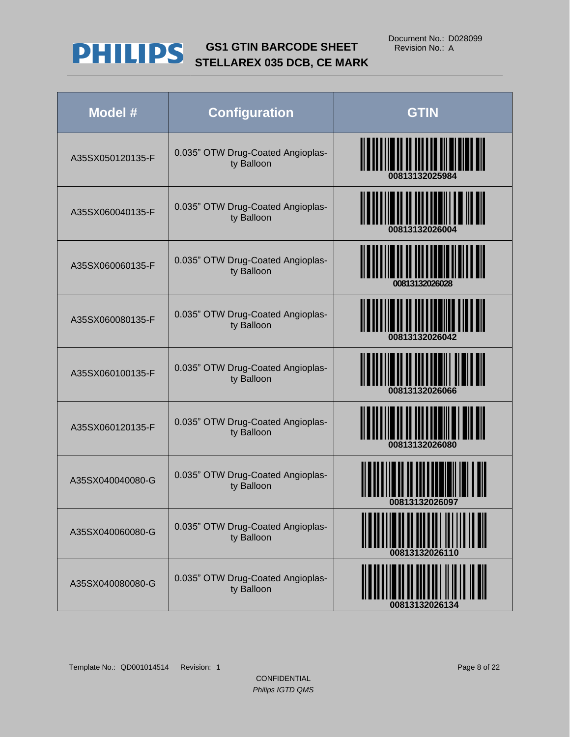

| Model #          | <b>Configuration</b>                            | <b>GTIN</b>                                        |
|------------------|-------------------------------------------------|----------------------------------------------------|
| A35SX050120135-F | 0.035" OTW Drug-Coated Angioplas-<br>ty Balloon | 00813132025984                                     |
| A35SX060040135-F | 0.035" OTW Drug-Coated Angioplas-<br>ty Balloon | <u> III yn y brening yn y gw</u><br>00813132026004 |
| A35SX060060135-F | 0.035" OTW Drug-Coated Angioplas-<br>ty Balloon | <u> IIIIIIIIIIII</u><br>00813132026028             |
| A35SX060080135-F | 0.035" OTW Drug-Coated Angioplas-<br>ty Balloon | 00813132026042                                     |
| A35SX060100135-F | 0.035" OTW Drug-Coated Angioplas-<br>ty Balloon | 00813132026066                                     |
| A35SX060120135-F | 0.035" OTW Drug-Coated Angioplas-<br>ty Balloon | 00813132026080                                     |
| A35SX040040080-G | 0.035" OTW Drug-Coated Angioplas-<br>ty Balloon | 00813132026097                                     |
| A35SX040060080-G | 0.035" OTW Drug-Coated Angioplas-<br>ty Balloon |                                                    |
| A35SX040080080-G | 0.035" OTW Drug-Coated Angioplas-<br>ty Balloon |                                                    |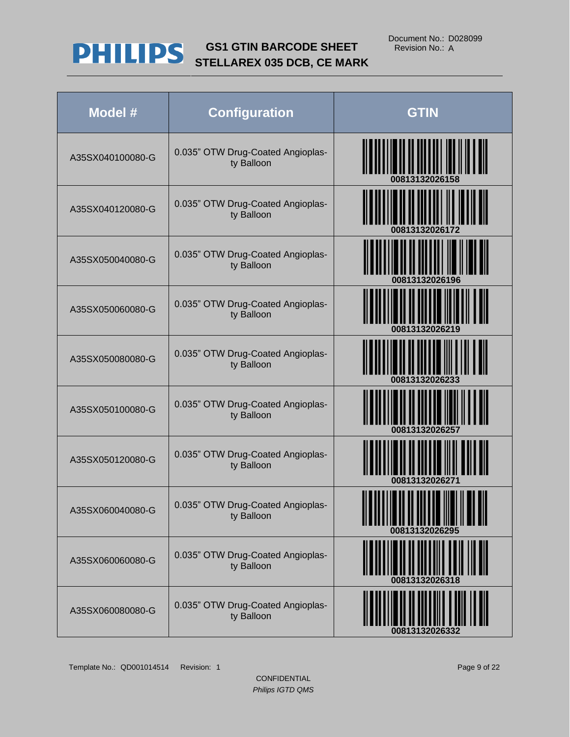

| Model #          | <b>Configuration</b>                            | <b>GTIN</b>                       |
|------------------|-------------------------------------------------|-----------------------------------|
| A35SX040100080-G | 0.035" OTW Drug-Coated Angioplas-<br>ty Balloon |                                   |
| A35SX040120080-G | 0.035" OTW Drug-Coated Angioplas-<br>ty Balloon | <b>TITUL II IIIIII III IIIIII</b> |
| A35SX050040080-G | 0.035" OTW Drug-Coated Angioplas-<br>ty Balloon |                                   |
| A35SX050060080-G | 0.035" OTW Drug-Coated Angioplas-<br>ty Balloon |                                   |
| A35SX050080080-G | 0.035" OTW Drug-Coated Angioplas-<br>ty Balloon |                                   |
| A35SX050100080-G | 0.035" OTW Drug-Coated Angioplas-<br>ty Balloon |                                   |
| A35SX050120080-G | 0.035" OTW Drug-Coated Angioplas-<br>ty Balloon |                                   |
| A35SX060040080-G | 0.035" OTW Drug-Coated Angioplas-<br>ty Balloon | 00813132026295                    |
| A35SX060060080-G | 0.035" OTW Drug-Coated Angioplas-<br>ty Balloon | ║║║                               |
| A35SX060080080-G | 0.035" OTW Drug-Coated Angioplas-<br>ty Balloon |                                   |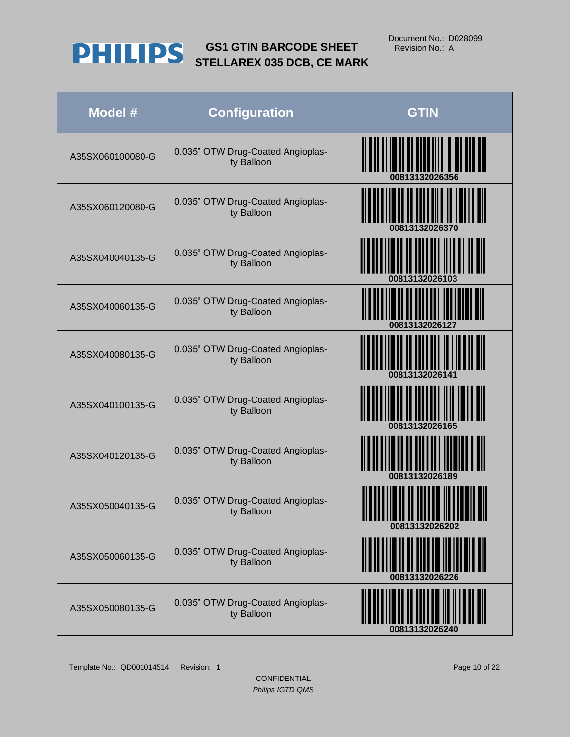

| Model #          | <b>Configuration</b>                            | <b>GTIN</b>    |
|------------------|-------------------------------------------------|----------------|
| A35SX060100080-G | 0.035" OTW Drug-Coated Angioplas-<br>ty Balloon | 00813132026356 |
| A35SX060120080-G | 0.035" OTW Drug-Coated Angioplas-<br>ty Balloon | 00813132026370 |
| A35SX040040135-G | 0.035" OTW Drug-Coated Angioplas-<br>ty Balloon |                |
| A35SX040060135-G | 0.035" OTW Drug-Coated Angioplas-<br>ty Balloon | 00813132026127 |
| A35SX040080135-G | 0.035" OTW Drug-Coated Angioplas-<br>ty Balloon |                |
| A35SX040100135-G | 0.035" OTW Drug-Coated Angioplas-<br>ty Balloon |                |
| A35SX040120135-G | 0.035" OTW Drug-Coated Angioplas-<br>ty Balloon | 00813132026189 |
| A35SX050040135-G | 0.035" OTW Drug-Coated Angioplas-<br>ty Balloon | 00813132026202 |
| A35SX050060135-G | 0.035" OTW Drug-Coated Angioplas-<br>ty Balloon | 00813132026226 |
| A35SX050080135-G | 0.035" OTW Drug-Coated Angioplas-<br>ty Balloon | 00813132026240 |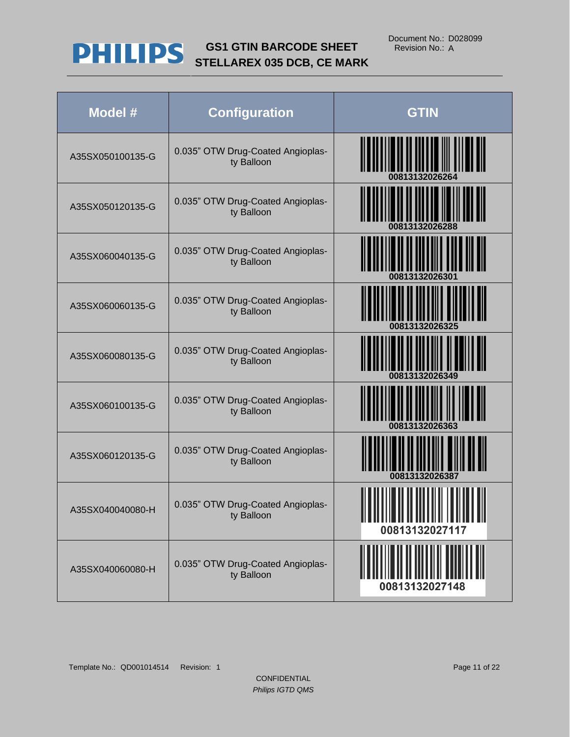

| Model #          | <b>Configuration</b>                            | <b>GTIN</b>    |
|------------------|-------------------------------------------------|----------------|
| A35SX050100135-G | 0.035" OTW Drug-Coated Angioplas-<br>ty Balloon |                |
| A35SX050120135-G | 0.035" OTW Drug-Coated Angioplas-<br>ty Balloon |                |
| A35SX060040135-G | 0.035" OTW Drug-Coated Angioplas-<br>ty Balloon | 00813132026301 |
| A35SX060060135-G | 0.035" OTW Drug-Coated Angioplas-<br>ty Balloon | 00813132026325 |
| A35SX060080135-G | 0.035" OTW Drug-Coated Angioplas-<br>ty Balloon | 00813132026349 |
| A35SX060100135-G | 0.035" OTW Drug-Coated Angioplas-<br>ty Balloon |                |
| A35SX060120135-G | 0.035" OTW Drug-Coated Angioplas-<br>ty Balloon | 00813132026387 |
| A35SX040040080-H | 0.035" OTW Drug-Coated Angioplas-<br>ty Balloon | 00813132027117 |
| A35SX040060080-H | 0.035" OTW Drug-Coated Angioplas-<br>ty Balloon | 00813132027148 |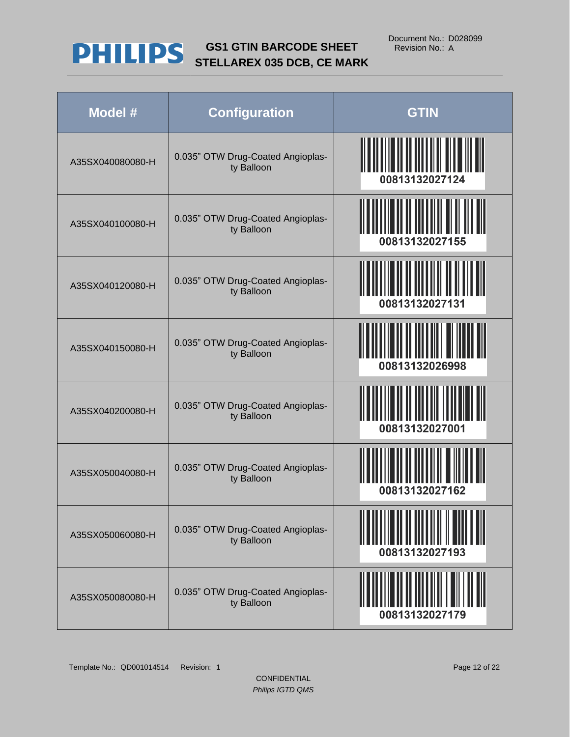

| Model #          | <b>Configuration</b>                            | <b>GTIN</b>    |
|------------------|-------------------------------------------------|----------------|
| A35SX040080080-H | 0.035" OTW Drug-Coated Angioplas-<br>ty Balloon | 00813132027124 |
| A35SX040100080-H | 0.035" OTW Drug-Coated Angioplas-<br>ty Balloon | 00813132027155 |
| A35SX040120080-H | 0.035" OTW Drug-Coated Angioplas-<br>ty Balloon | 00813132027131 |
| A35SX040150080-H | 0.035" OTW Drug-Coated Angioplas-<br>ty Balloon | 00813132026998 |
| A35SX040200080-H | 0.035" OTW Drug-Coated Angioplas-<br>ty Balloon | 00813132027001 |
| A35SX050040080-H | 0.035" OTW Drug-Coated Angioplas-<br>ty Balloon | 00813132027162 |
| A35SX050060080-H | 0.035" OTW Drug-Coated Angioplas-<br>ty Balloon | 00813132027193 |
| A35SX050080080-H | 0.035" OTW Drug-Coated Angioplas-<br>ty Balloon | 00813132027179 |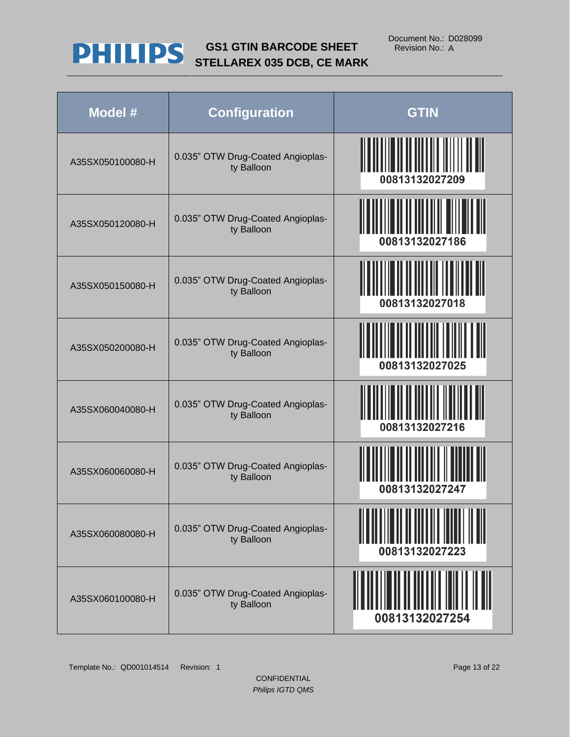

| Model #          | <b>Configuration</b>                            | <b>GTIN</b>    |
|------------------|-------------------------------------------------|----------------|
| A35SX050100080-H | 0.035" OTW Drug-Coated Angioplas-<br>ty Balloon | 00813132027209 |
| A35SX050120080-H | 0.035" OTW Drug-Coated Angioplas-<br>ty Balloon | 00813132027186 |
| A35SX050150080-H | 0.035" OTW Drug-Coated Angioplas-<br>ty Balloon | 00813132027018 |
| A35SX050200080-H | 0.035" OTW Drug-Coated Angioplas-<br>ty Balloon | 00813132027025 |
| A35SX060040080-H | 0.035" OTW Drug-Coated Angioplas-<br>ty Balloon | 00813132027216 |
| A35SX060060080-H | 0.035" OTW Drug-Coated Angioplas-<br>ty Balloon | 00813132027247 |
| A35SX060080080-H | 0.035" OTW Drug-Coated Angioplas-<br>ty Balloon | 00813132027223 |
| A35SX060100080-H | 0.035" OTW Drug-Coated Angioplas-<br>ty Balloon | 00813132027254 |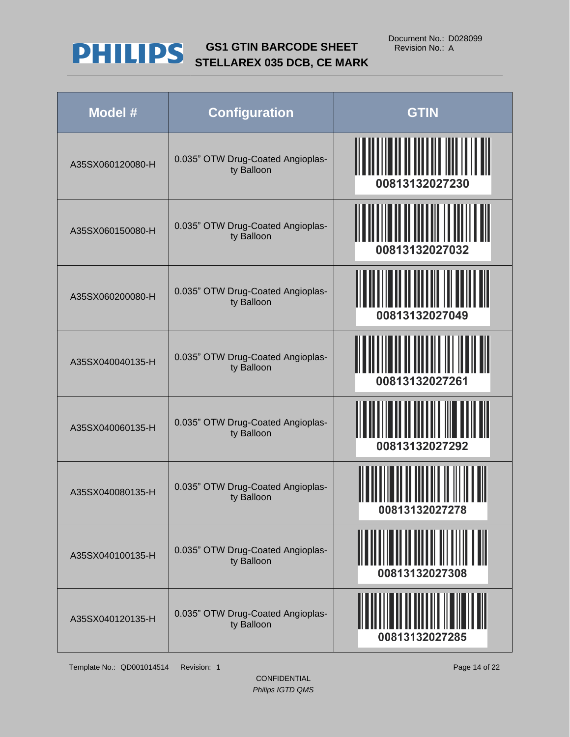

| Model #          | <b>Configuration</b>                            | <b>GTIN</b>    |
|------------------|-------------------------------------------------|----------------|
| A35SX060120080-H | 0.035" OTW Drug-Coated Angioplas-<br>ty Balloon | 00813132027230 |
| A35SX060150080-H | 0.035" OTW Drug-Coated Angioplas-<br>ty Balloon | 00813132027032 |
| A35SX060200080-H | 0.035" OTW Drug-Coated Angioplas-<br>ty Balloon | 00813132027049 |
| A35SX040040135-H | 0.035" OTW Drug-Coated Angioplas-<br>ty Balloon | 00813132027261 |
| A35SX040060135-H | 0.035" OTW Drug-Coated Angioplas-<br>ty Balloon | 00813132027292 |
| A35SX040080135-H | 0.035" OTW Drug-Coated Angioplas-<br>ty Balloon | 00813132027278 |
| A35SX040100135-H | 0.035" OTW Drug-Coated Angioplas-<br>ty Balloon | 00813132027308 |
| A35SX040120135-H | 0.035" OTW Drug-Coated Angioplas-<br>ty Balloon | 00813132027285 |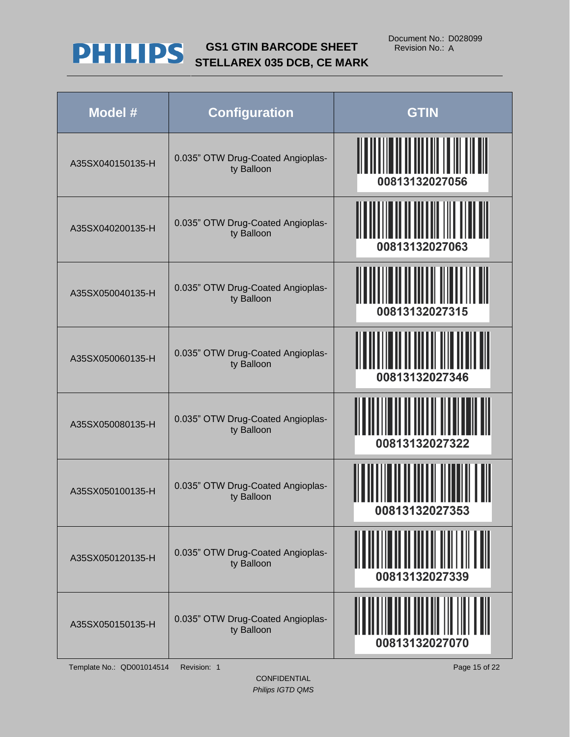

| Model #          | <b>Configuration</b>                            | <b>GTIN</b>    |
|------------------|-------------------------------------------------|----------------|
| A35SX040150135-H | 0.035" OTW Drug-Coated Angioplas-<br>ty Balloon | 00813132027056 |
| A35SX040200135-H | 0.035" OTW Drug-Coated Angioplas-<br>ty Balloon | 00813132027063 |
| A35SX050040135-H | 0.035" OTW Drug-Coated Angioplas-<br>ty Balloon | 00813132027315 |
| A35SX050060135-H | 0.035" OTW Drug-Coated Angioplas-<br>ty Balloon | 00813132027346 |
| A35SX050080135-H | 0.035" OTW Drug-Coated Angioplas-<br>ty Balloon | 00813132027322 |
| A35SX050100135-H | 0.035" OTW Drug-Coated Angioplas-<br>ty Balloon | 00813132027353 |
| A35SX050120135-H | 0.035" OTW Drug-Coated Angioplas-<br>ty Balloon | 00813132027339 |
| A35SX050150135-H | 0.035" OTW Drug-Coated Angioplas-<br>ty Balloon | 00813132027070 |

Template No.: QD001014514 Revision: 1 Page 15 of 22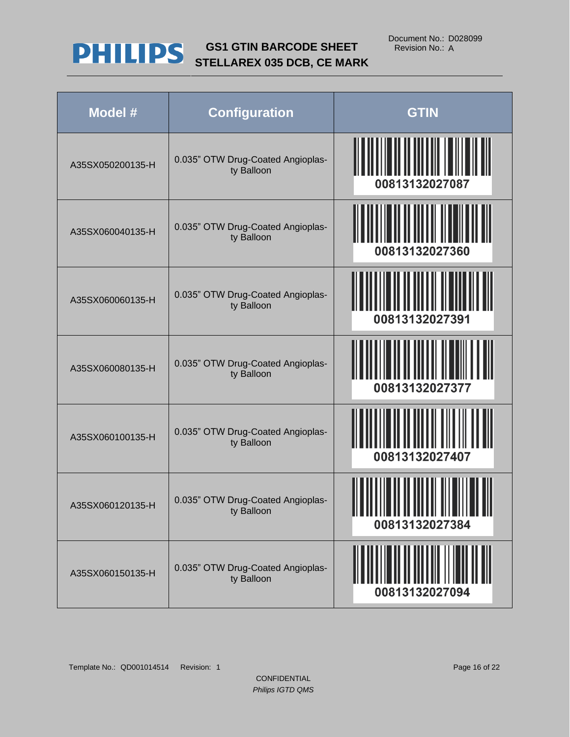

| Model #          | <b>Configuration</b>                            | <b>GTIN</b>                               |
|------------------|-------------------------------------------------|-------------------------------------------|
| A35SX050200135-H | 0.035" OTW Drug-Coated Angioplas-<br>ty Balloon | <b>IIIIIIIIIIIIII</b><br>00813132027087   |
| A35SX060040135-H | 0.035" OTW Drug-Coated Angioplas-<br>ty Balloon | 00813132027360                            |
| A35SX060060135-H | 0.035" OTW Drug-Coated Angioplas-<br>ty Balloon | 00813132027391                            |
| A35SX060080135-H | 0.035" OTW Drug-Coated Angioplas-<br>ty Balloon | 00813132027377                            |
| A35SX060100135-H | 0.035" OTW Drug-Coated Angioplas-<br>ty Balloon | 00813132027407                            |
| A35SX060120135-H | 0.035" OTW Drug-Coated Angioplas-<br>ty Balloon | ,,,,,,,,,,,,,,,,,,,,,,,<br>00813132027384 |
| A35SX060150135-H | 0.035" OTW Drug-Coated Angioplas-<br>ty Balloon | 00813132027094                            |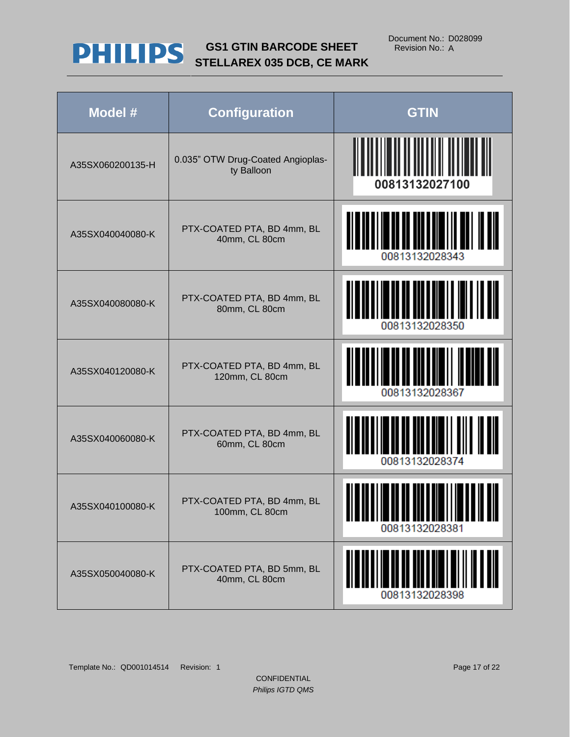

| Model #          | <b>Configuration</b>                            | <b>GTIN</b>    |
|------------------|-------------------------------------------------|----------------|
| A35SX060200135-H | 0.035" OTW Drug-Coated Angioplas-<br>ty Balloon | 00813132027100 |
| A35SX040040080-K | PTX-COATED PTA, BD 4mm, BL<br>40mm, CL 80cm     | 00813132028343 |
| A35SX040080080-K | PTX-COATED PTA, BD 4mm, BL<br>80mm, CL 80cm     | 00813132028350 |
| A35SX040120080-K | PTX-COATED PTA, BD 4mm, BL<br>120mm, CL 80cm    | 00813132028367 |
| A35SX040060080-K | PTX-COATED PTA, BD 4mm, BL<br>60mm, CL 80cm     | 00813132028374 |
| A35SX040100080-K | PTX-COATED PTA, BD 4mm, BL<br>100mm, CL 80cm    | 00813132028381 |
| A35SX050040080-K | PTX-COATED PTA, BD 5mm, BL<br>40mm, CL 80cm     | 00813132028398 |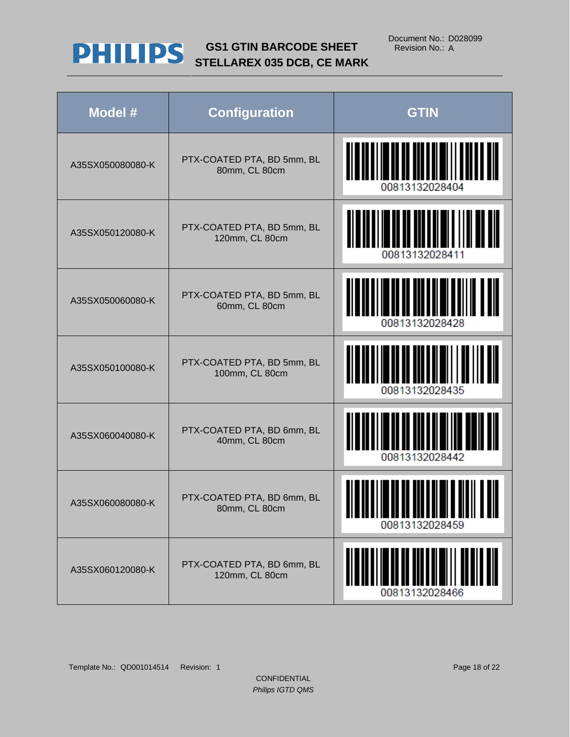

| Model #          | <b>Configuration</b>                         | <b>GTIN</b>                                                               |
|------------------|----------------------------------------------|---------------------------------------------------------------------------|
| A35SX050080080-K | PTX-COATED PTA, BD 5mm, BL<br>80mm, CL 80cm  | 00813132028404                                                            |
| A35SX050120080-K | PTX-COATED PTA, BD 5mm, BL<br>120mm, CL 80cm | 00813132028411                                                            |
| A35SX050060080-K | PTX-COATED PTA, BD 5mm, BL<br>60mm, CL 80cm  | 00813132028428                                                            |
| A35SX050100080-K | PTX-COATED PTA, BD 5mm, BL<br>100mm, CL 80cm | 00813132028435                                                            |
| A35SX060040080-K | PTX-COATED PTA, BD 6mm, BL<br>40mm, CL 80cm  | 00813132028442                                                            |
| A35SX060080080-K | PTX-COATED PTA, BD 6mm, BL<br>80mm, CL 80cm  | <u>BI W OU H I IW OU DE BOU U DI WI W DIUII I U WIH</u><br>00813132028459 |
| A35SX060120080-K | PTX-COATED PTA, BD 6mm, BL<br>120mm, CL 80cm | 00813132028466                                                            |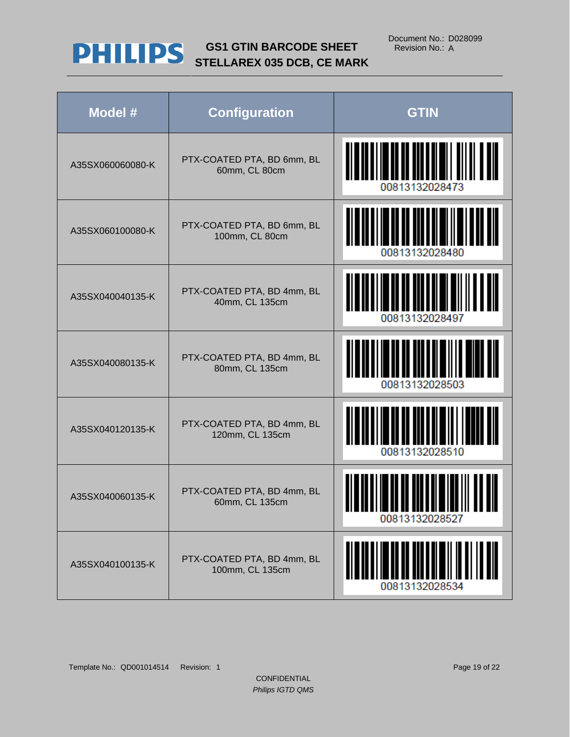

| Model #          | <b>Configuration</b>                          | <b>GTIN</b>    |
|------------------|-----------------------------------------------|----------------|
| A35SX060060080-K | PTX-COATED PTA, BD 6mm, BL<br>60mm, CL 80cm   | 00813132028473 |
| A35SX060100080-K | PTX-COATED PTA, BD 6mm, BL<br>100mm, CL 80cm  | 00813132028480 |
| A35SX040040135-K | PTX-COATED PTA, BD 4mm, BL<br>40mm, CL 135cm  | 00813132028497 |
| A35SX040080135-K | PTX-COATED PTA, BD 4mm, BL<br>80mm, CL 135cm  | 00813132028503 |
| A35SX040120135-K | PTX-COATED PTA, BD 4mm, BL<br>120mm, CL 135cm | 00813132028510 |
| A35SX040060135-K | PTX-COATED PTA, BD 4mm, BL<br>60mm, CL 135cm  | 00813132028527 |
| A35SX040100135-K | PTX-COATED PTA, BD 4mm, BL<br>100mm, CL 135cm | 00813132028534 |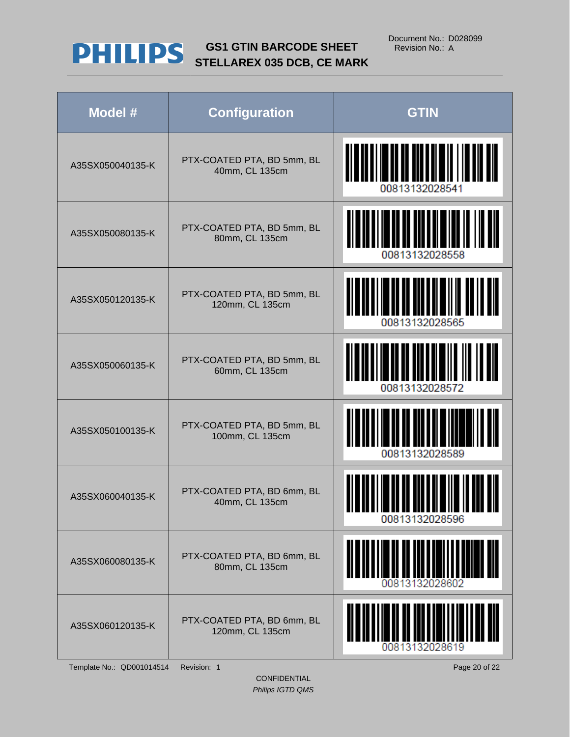

| Model #          | <b>Configuration</b>                          | <b>GTIN</b>                                                                    |
|------------------|-----------------------------------------------|--------------------------------------------------------------------------------|
| A35SX050040135-K | PTX-COATED PTA, BD 5mm, BL<br>40mm, CL 135cm  | 00813132028541                                                                 |
| A35SX050080135-K | PTX-COATED PTA, BD 5mm, BL<br>80mm, CL 135cm  | 00813132028558                                                                 |
| A35SX050120135-K | PTX-COATED PTA, BD 5mm, BL<br>120mm, CL 135cm | 00813132028565                                                                 |
| A35SX050060135-K | PTX-COATED PTA, BD 5mm, BL<br>60mm, CL 135cm  | <u>HALININ III III</u><br>00813132028572                                       |
| A35SX050100135-K | PTX-COATED PTA, BD 5mm, BL<br>100mm, CL 135cm | 00813132028589                                                                 |
| A35SX060040135-K | PTX-COATED PTA, BD 6mm, BL<br>40mm, CL 135cm  | <u> A 1 m an a 1 1 m an an an ann a bha 11 m 11 ann an a</u><br>00813132028596 |
| A35SX060080135-K | PTX-COATED PTA, BD 6mm, BL<br>80mm, CL 135cm  | 00813132028602                                                                 |
| A35SX060120135-K | PTX-COATED PTA, BD 6mm, BL<br>120mm, CL 135cm |                                                                                |

Template No.: QD001014514 Revision: 1 Page 20 of 22

CONFIDENTIAL *Philips IGTD QMS*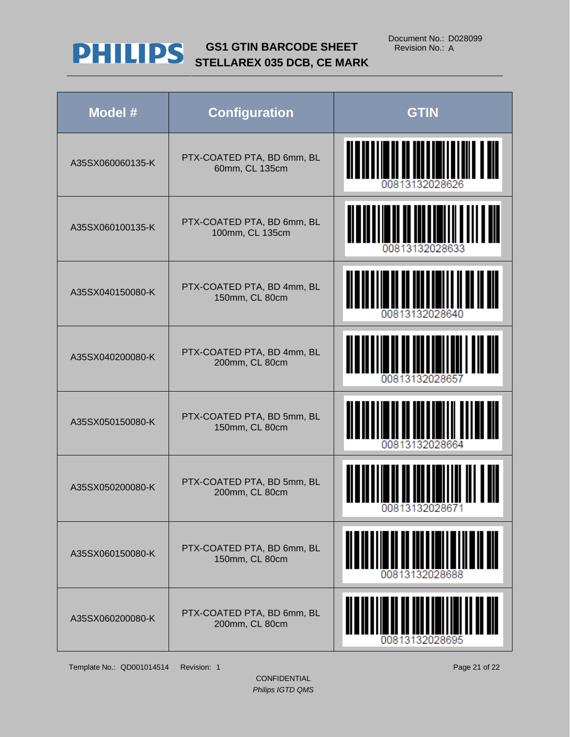

| Model #          | <b>Configuration</b>                          | <b>GTIN</b>                                      |
|------------------|-----------------------------------------------|--------------------------------------------------|
| A35SX060060135-K | PTX-COATED PTA, BD 6mm, BL<br>60mm, CL 135cm  | <u> A AALTA ITTI JULI 1 AI</u><br>00813132028626 |
| A35SX060100135-K | PTX-COATED PTA, BD 6mm, BL<br>100mm, CL 135cm | <u>HIIIIIIIIIII</u><br>00813132028633            |
| A35SX040150080-K | PTX-COATED PTA, BD 4mm, BL<br>150mm, CL 80cm  | 00813132028640                                   |
| A35SX040200080-K | PTX-COATED PTA, BD 4mm, BL<br>200mm, CL 80cm  | 00813132028657                                   |
| A35SX050150080-K | PTX-COATED PTA, BD 5mm, BL<br>150mm, CL 80cm  | 00813132028664                                   |
| A35SX050200080-K | PTX-COATED PTA, BD 5mm, BL<br>200mm, CL 80cm  | 00813132028671                                   |
| A35SX060150080-K | PTX-COATED PTA, BD 6mm, BL<br>150mm, CL 80cm  |                                                  |
| A35SX060200080-K | PTX-COATED PTA, BD 6mm, BL<br>200mm, CL 80cm  | 00813132028695                                   |